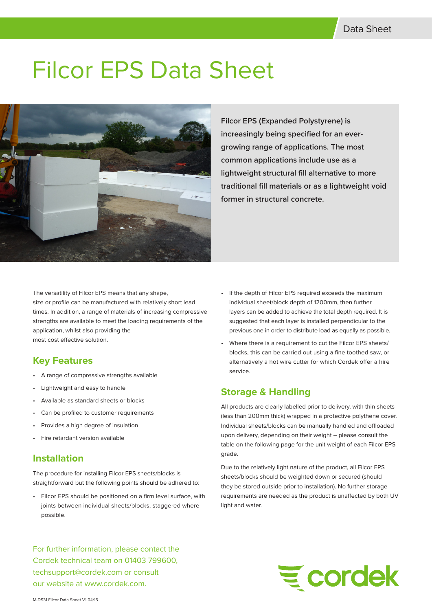# Filcor EPS Data Sheet



**Filcor EPS (Expanded Polystyrene) is increasingly being specified for an evergrowing range of applications. The most common applications include use as a lightweight structural fill alternative to more traditional fill materials or as a lightweight void former in structural concrete.** 

The versatility of Filcor EPS means that any shape, size or profile can be manufactured with relatively short lead times. In addition, a range of materials of increasing compressive strengths are available to meet the loading requirements of the application, whilst also providing the most cost effective solution.

# **Key Features**

- A range of compressive strengths available
- Lightweight and easy to handle
- Available as standard sheets or blocks
- Can be profiled to customer requirements
- Provides a high degree of insulation
- Fire retardant version available

## **Installation**

The procedure for installing Filcor EPS sheets/blocks is straightforward but the following points should be adhered to:

Filcor EPS should be positioned on a firm level surface, with joints between individual sheets/blocks, staggered where possible.

For further information, please contact the Cordek technical team on 01403 799600, techsupport@cordek.com or consult our website at www.cordek.com.

- If the depth of Filcor EPS required exceeds the maximum individual sheet/block depth of 1200mm, then further layers can be added to achieve the total depth required. It is suggested that each layer is installed perpendicular to the previous one in order to distribute load as equally as possible.
- Where there is a requirement to cut the Filcor EPS sheets/ blocks, this can be carried out using a fine toothed saw, or alternatively a hot wire cutter for which Cordek offer a hire service.

## **Storage & Handling**

All products are clearly labelled prior to delivery, with thin sheets (less than 200mm thick) wrapped in a protective polythene cover. Individual sheets/blocks can be manually handled and offloaded upon delivery, depending on their weight – please consult the table on the following page for the unit weight of each Filcor EPS grade.

Due to the relatively light nature of the product, all Filcor EPS sheets/blocks should be weighted down or secured (should they be stored outside prior to installation). No further storage requirements are needed as the product is unaffected by both UV light and water.